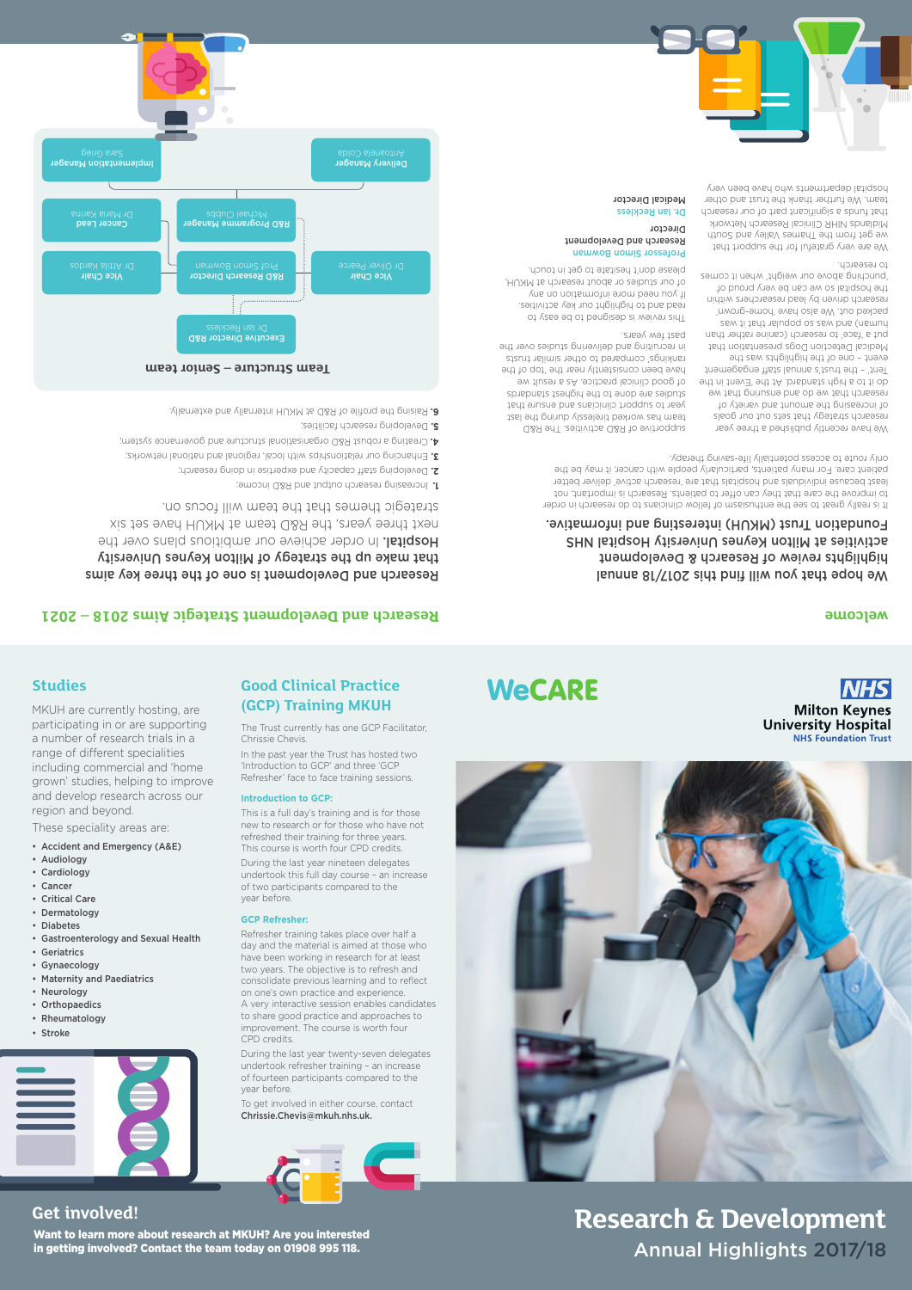Research and Development is one of the three key aims that make up the strategy of Milton Keynes University **Hospital.** In order achieve our ambitious plans over the next three years, the R&D team at MKUH have set six

strategic themes that the team will focus on.

Increasing research output and R&D income; **1.**

Developing staff capacity and expertise in doing research; **2.**

Enhancing our relationships with local, regional and national networks; **3.** Creating a robust R&D organisational structure and governance system; **4.**

Developing research facilities; **5.**

Raising the profile of R&D at MKUH internally and externally. **6.**

We have recently published a three year research strategy that sets out our goals of increasing the amount and variety of research that we do and ensuring that we do it to a high standard. At the 'Event in the Tent' – the trust's annual staff engagement event - one of the highlights was the Medical Detection Dogs presentation that put a 'face' to research (canine rather than human) suman os se pue yang that it was packed out. We also have 'home-grown' research driven by lead researchers within the hospital so we can be very proud of 'punching above our weight' when it comes to research.

We are very grateful for the support that we get from the Thames Valley and South Midlands NIHR Clinical Research Network that funds a significant part of our research team. We further thank the trust and other hospital departments who have been very

supportive of R&D activities. The R&D team has worked tirelessly during the last year to support clinicians and ensure that studies are done to the highest standards have been consistently near the 'top of the rankings' compared to other similar trusts in recruiting and delivering studies over the

of good clinical practice. As a result we past few years.

This review is designed to be easy to read and to highlight our key activities. If you need more information on any of our studies or about research at MKUH, please don't hesitate to get in touch.

## Professor Simon Bowman

### Research and Development Director



Dr. Ian Reckless Medical Director

### We hope that you will find this 2017/18 annual highlights review of Research & Development activities at Milton Keynes University Hospital NHS Foundation Trust (MKUH) interesting and informative.



It is really great to see the enthusiasm of fellow clinicians to do research in order to improve the care that they can offer to patients. Research is important, not least because individuals and hospitals that are 'research active' deliver better patient care. For many patients, particularly people with cancer, it may be the

only route to access potentially life-saving therapy.

**Studies**

MKUH are currently hosting, are participating in or are supporting a number of research trials in a range of different specialities including commercial and 'home grown' studies, helping to improve and develop research across our

region and beyond.

These speciality areas are:

• Audiology

- 
- Cardiology
- 
- 
- 
- 
- 
- 
- 
- 
- 
- 
- 
- 
- 
- 
- 
- 
- 
- 
- 
- Gynaecology
- Accident and Emergency (A&E)
- 
- 
- 
- 
- 
- 
- 
- 
- 
- 
- 
- 
- 
- Cancer
- Critical Care
- Dermatology • Diabetes
- 
- Geriatrics
- 
- 

### • Gastroenterology and Sexual Health

- Maternity and Paediatrics
- Neurology
- Orthopaedics
- Rheumatology
- Stroke



### **Good Clinical Practice (GCP) Training MKUH**



**WeCARE** 

### **Research and Development Strategie Aims 2018 – 2021 welcoment Strategic Aims 2018 – 2021**

**NHS** 

**Milton Keynes University Hospital** 

The Trust currently has one GCP Facilitator, Chrissie Chevis.

In the past year the Trust has hosted two 'Introduction to GCP' and three 'GCP Refresher' face to face training sessions.

### **Introduction to GCP:**

This is a full day's training and is for those new to research or for those who have not refreshed their training for three years.

This course is worth four CPD credits. During the last year nineteen delegates undertook this full day course – an increase of two participants compared to the

year before.

**GCP Refresher:**

### Refresher training takes place over half a day and the material is aimed at those who have been working in research for at least two years. The objective is to refresh and

consolidate previous learning and to reflect on one's own practice and experience. A very interactive session enables candidates to share good practice and approaches to improvement. The course is worth four CPD credits.

During the last year twenty-seven delegates undertook refresher training – an increase of fourteen participants compared to the year before.

To get involved in either course, contact Chrissie.Chevis@mkuh.nhs.uk.

Want to learn more about research at MKUH? Are you interested in getting involved? Contact the team today on 01908 995 118.

## **Get involved! Research & Development** Annual Highlights 2017/18